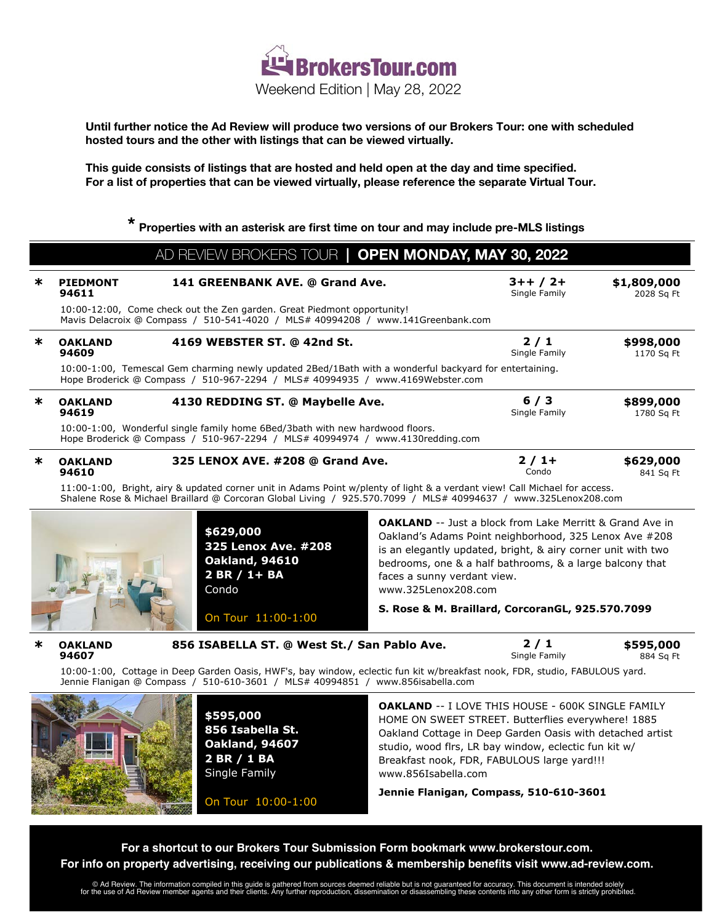

**Until further notice the Ad Review will produce two versions of our Brokers Tour: one with scheduled hosted tours and the other with listings that can be viewed virtually.**

**This guide consists of listings that are hosted and held open at the day and time specified. For a list of properties that can be viewed virtually, please reference the separate Virtual Tour.**

**\* Properties with an asterisk are first time on tour and may include pre-MLS listings**

# AD REVIEW BROKERS TOUR **| OPEN MONDAY, MAY 30, 2022**

| *                                                                                                                                                          | <b>PIEDMONT</b><br>94611                                                                                                                                                                                                                     | 141 GREENBANK AVE. @ Grand Ave.                                                           |                                                                                                                                                                                                                                                                                                             | $3 + + 72 +$<br>Single Family | \$1,809,000<br>2028 Sq Ft |  |
|------------------------------------------------------------------------------------------------------------------------------------------------------------|----------------------------------------------------------------------------------------------------------------------------------------------------------------------------------------------------------------------------------------------|-------------------------------------------------------------------------------------------|-------------------------------------------------------------------------------------------------------------------------------------------------------------------------------------------------------------------------------------------------------------------------------------------------------------|-------------------------------|---------------------------|--|
| 10:00-12:00, Come check out the Zen garden. Great Piedmont opportunity!<br>Mavis Delacroix @ Compass / 510-541-4020 / MLS# 40994208 / www.141Greenbank.com |                                                                                                                                                                                                                                              |                                                                                           |                                                                                                                                                                                                                                                                                                             |                               |                           |  |
| $\ast$                                                                                                                                                     | <b>OAKLAND</b><br>94609                                                                                                                                                                                                                      | 4169 WEBSTER ST. @ 42nd St.                                                               |                                                                                                                                                                                                                                                                                                             | $2/1$<br>Single Family        | \$998,000<br>1170 Sq Ft   |  |
|                                                                                                                                                            | 10:00-1:00, Temescal Gem charming newly updated 2Bed/1Bath with a wonderful backyard for entertaining.<br>Hope Broderick @ Compass / 510-967-2294 / MLS# 40994935 / www.4169Webster.com                                                      |                                                                                           |                                                                                                                                                                                                                                                                                                             |                               |                           |  |
| $\ast$                                                                                                                                                     | <b>OAKLAND</b><br>94619                                                                                                                                                                                                                      | 4130 REDDING ST. @ Maybelle Ave.                                                          |                                                                                                                                                                                                                                                                                                             | 6/3<br>Single Family          | \$899,000<br>1780 Sq Ft   |  |
|                                                                                                                                                            | 10:00-1:00, Wonderful single family home 6Bed/3bath with new hardwood floors.<br>Hope Broderick @ Compass / 510-967-2294 / MLS# 40994974 / www.4130redding.com                                                                               |                                                                                           |                                                                                                                                                                                                                                                                                                             |                               |                           |  |
| $\ast$                                                                                                                                                     | <b>OAKLAND</b><br>94610                                                                                                                                                                                                                      | 325 LENOX AVE. #208 @ Grand Ave.                                                          |                                                                                                                                                                                                                                                                                                             | $2/1+$<br>Condo               | \$629,000<br>841 Sq Ft    |  |
|                                                                                                                                                            | 11:00-1:00, Bright, airy & updated corner unit in Adams Point w/plenty of light & a verdant view! Call Michael for access.<br>Shalene Rose & Michael Braillard @ Corcoran Global Living / 925.570.7099 / MLS# 40994637 / www.325Lenox208.com |                                                                                           |                                                                                                                                                                                                                                                                                                             |                               |                           |  |
|                                                                                                                                                            |                                                                                                                                                                                                                                              | \$629,000<br><b>325 Lenox Ave. #208</b><br><b>Oakland, 94610</b><br>2 BR / 1+ BA<br>Condo | <b>OAKLAND</b> -- Just a block from Lake Merritt & Grand Ave in<br>Oakland's Adams Point neighborhood, 325 Lenox Ave #208<br>is an elegantly updated, bright, & airy corner unit with two<br>bedrooms, one & a half bathrooms, & a large balcony that<br>faces a sunny verdant view.<br>www.325Lenox208.com |                               |                           |  |
|                                                                                                                                                            | S. Rose & M. Braillard, CorcoranGL, 925.570.7099                                                                                                                                                                                             |                                                                                           |                                                                                                                                                                                                                                                                                                             |                               |                           |  |
| ж                                                                                                                                                          | <b>OAKLAND</b><br>94607                                                                                                                                                                                                                      | 856 ISABELLA ST. @ West St./ San Pablo Ave.                                               |                                                                                                                                                                                                                                                                                                             | 2/1<br>Single Family          | \$595,000<br>884 Sq Ft    |  |
|                                                                                                                                                            | 10:00-1:00, Cottage in Deep Garden Oasis, HWF's, bay window, eclectic fun kit w/breakfast nook, FDR, studio, FABULOUS yard.<br>Jennie Flanigan @ Compass / 510-610-3601 / MLS# 40994851 / www.856isabella.com                                |                                                                                           |                                                                                                                                                                                                                                                                                                             |                               |                           |  |
|                                                                                                                                                            | <b>OAKLAND -- I LOVE THIS HOUSE - 600K SINGLE FAMILY</b><br>\$595,000<br>HOME ON SWEET STREET. Butterflies everywhere! 1885                                                                                                                  |                                                                                           |                                                                                                                                                                                                                                                                                                             |                               |                           |  |

**856 Isabella St. Oakland, 94607 2 BR / 1 BA** Single Family

On Tour 10:00-1:00

Oakland Cottage in Deep Garden Oasis with detached artist studio, wood flrs, LR bay window, eclectic fun kit w/ Breakfast nook, FDR, FABULOUS large yard!!! www.856Isabella.com

**Jennie Flanigan, Compass, 510-610-3601**

**For a shortcut to our Brokers Tour Submission Form bookmark www.brokerstour.com. For info on property advertising, receiving our publications & membership benefits visit www.ad-review.com.**

Ad Review. The information compiled in this guide is gathered from sources deemed reliable but is not guaranteed for accuracy. This document is intended solely @<br>for the use of Ad Review member agents and their clients. An